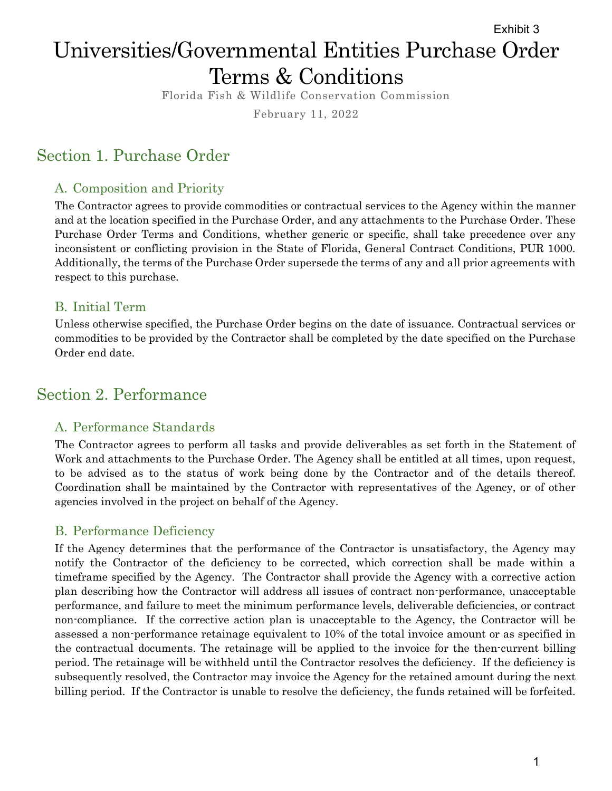# Universities/Governmental Entities Purchase Order Terms & Conditions Exhibit 3

Florida Fish & Wildlife Conservation Commission

February 11, 2022

# Section 1. Purchase Order

## A. Composition and Priority

The Contractor agrees to provide commodities or contractual services to the Agency within the manner and at the location specified in the Purchase Order, and any attachments to the Purchase Order. These Purchase Order Terms and Conditions, whether generic or specific, shall take precedence over any inconsistent or conflicting provision in the State of Florida, General Contract Conditions, PUR 1000. Additionally, the terms of the Purchase Order supersede the terms of any and all prior agreements with respect to this purchase.

### B. Initial Term

Unless otherwise specified, the Purchase Order begins on the date of issuance. Contractual services or commodities to be provided by the Contractor shall be completed by the date specified on the Purchase Order end date.

# Section 2. Performance

### A. Performance Standards

The Contractor agrees to perform all tasks and provide deliverables as set forth in the Statement of Work and attachments to the Purchase Order. The Agency shall be entitled at all times, upon request, to be advised as to the status of work being done by the Contractor and of the details thereof. Coordination shall be maintained by the Contractor with representatives of the Agency, or of other agencies involved in the project on behalf of the Agency.

### B. Performance Deficiency

If the Agency determines that the performance of the Contractor is unsatisfactory, the Agency may notify the Contractor of the deficiency to be corrected, which correction shall be made within a timeframe specified by the Agency. The Contractor shall provide the Agency with a corrective action plan describing how the Contractor will address all issues of contract non-performance, unacceptable performance, and failure to meet the minimum performance levels, deliverable deficiencies, or contract non-compliance. If the corrective action plan is unacceptable to the Agency, the Contractor will be assessed a non-performance retainage equivalent to 10% of the total invoice amount or as specified in the contractual documents. The retainage will be applied to the invoice for the then-current billing period. The retainage will be withheld until the Contractor resolves the deficiency. If the deficiency is subsequently resolved, the Contractor may invoice the Agency for the retained amount during the next billing period. If the Contractor is unable to resolve the deficiency, the funds retained will be forfeited.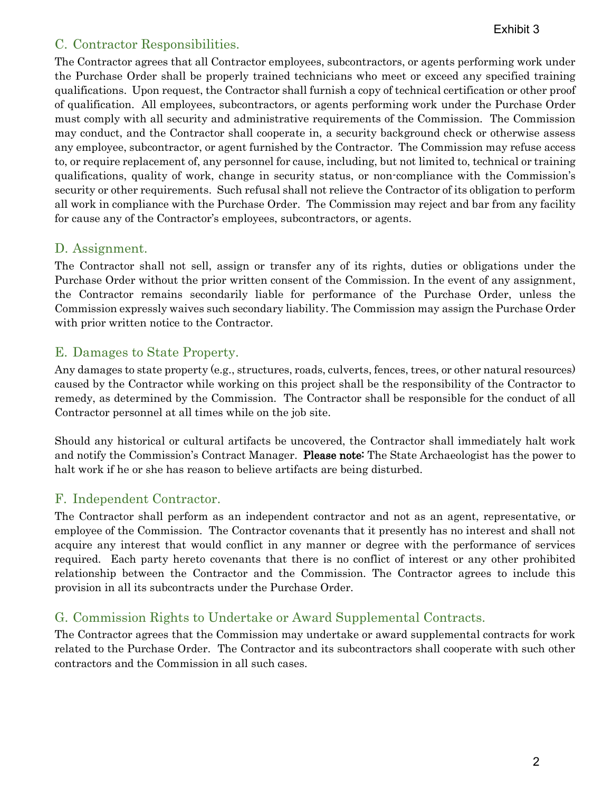## C. Contractor Responsibilities.

The Contractor agrees that all Contractor employees, subcontractors, or agents performing work under the Purchase Order shall be properly trained technicians who meet or exceed any specified training qualifications. Upon request, the Contractor shall furnish a copy of technical certification or other proof of qualification. All employees, subcontractors, or agents performing work under the Purchase Order must comply with all security and administrative requirements of the Commission. The Commission may conduct, and the Contractor shall cooperate in, a security background check or otherwise assess any employee, subcontractor, or agent furnished by the Contractor. The Commission may refuse access to, or require replacement of, any personnel for cause, including, but not limited to, technical or training qualifications, quality of work, change in security status, or non-compliance with the Commission's security or other requirements. Such refusal shall not relieve the Contractor of its obligation to perform all work in compliance with the Purchase Order. The Commission may reject and bar from any facility for cause any of the Contractor's employees, subcontractors, or agents.

### D. Assignment.

The Contractor shall not sell, assign or transfer any of its rights, duties or obligations under the Purchase Order without the prior written consent of the Commission. In the event of any assignment, the Contractor remains secondarily liable for performance of the Purchase Order, unless the Commission expressly waives such secondary liability. The Commission may assign the Purchase Order with prior written notice to the Contractor.

### E. Damages to State Property.

Any damages to state property (e.g., structures, roads, culverts, fences, trees, or other natural resources) caused by the Contractor while working on this project shall be the responsibility of the Contractor to remedy, as determined by the Commission. The Contractor shall be responsible for the conduct of all Contractor personnel at all times while on the job site.

Should any historical or cultural artifacts be uncovered, the Contractor shall immediately halt work and notify the Commission's Contract Manager. Please note: The State Archaeologist has the power to halt work if he or she has reason to believe artifacts are being disturbed.

## F. Independent Contractor.

The Contractor shall perform as an independent contractor and not as an agent, representative, or employee of the Commission. The Contractor covenants that it presently has no interest and shall not acquire any interest that would conflict in any manner or degree with the performance of services required. Each party hereto covenants that there is no conflict of interest or any other prohibited relationship between the Contractor and the Commission. The Contractor agrees to include this provision in all its subcontracts under the Purchase Order.

## G. Commission Rights to Undertake or Award Supplemental Contracts.

The Contractor agrees that the Commission may undertake or award supplemental contracts for work related to the Purchase Order. The Contractor and its subcontractors shall cooperate with such other contractors and the Commission in all such cases.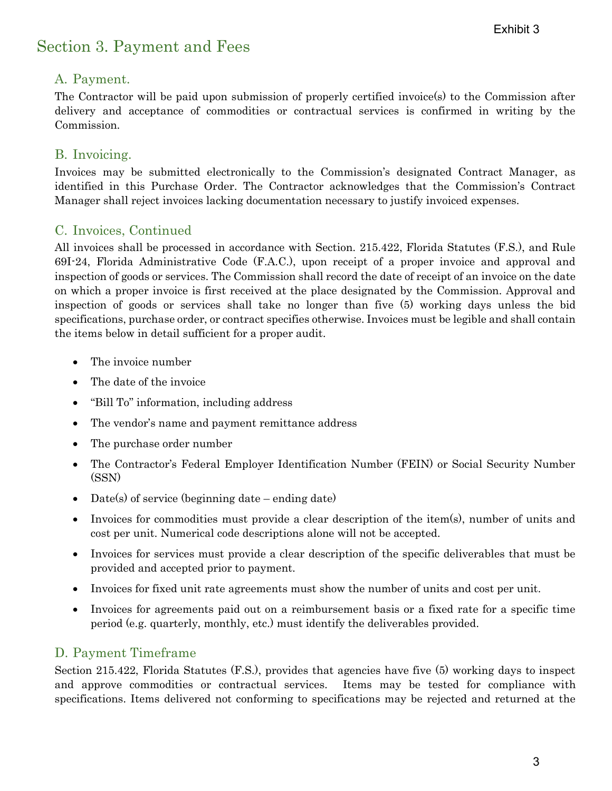# Section 3. Payment and Fees

## A. Payment.

The Contractor will be paid upon submission of properly certified invoice(s) to the Commission after delivery and acceptance of commodities or contractual services is confirmed in writing by the Commission.

### B. Invoicing.

Invoices may be submitted electronically to the Commission's designated Contract Manager, as identified in this Purchase Order. The Contractor acknowledges that the Commission's Contract Manager shall reject invoices lacking documentation necessary to justify invoiced expenses.

### C. Invoices, Continued

All invoices shall be processed in accordance with Section. 215.422, Florida Statutes (F.S.), and Rule 69I-24, Florida Administrative Code (F.A.C.), upon receipt of a proper invoice and approval and inspection of goods or services. The Commission shall record the date of receipt of an invoice on the date on which a proper invoice is first received at the place designated by the Commission. Approval and inspection of goods or services shall take no longer than five (5) working days unless the bid specifications, purchase order, or contract specifies otherwise. Invoices must be legible and shall contain the items below in detail sufficient for a proper audit.

- The invoice number
- The date of the invoice
- "Bill To" information, including address
- The vendor's name and payment remittance address
- The purchase order number
- The Contractor's Federal Employer Identification Number (FEIN) or Social Security Number (SSN)
- Date(s) of service (beginning date ending date)
- Invoices for commodities must provide a clear description of the item(s), number of units and cost per unit. Numerical code descriptions alone will not be accepted.
- Invoices for services must provide a clear description of the specific deliverables that must be provided and accepted prior to payment.
- Invoices for fixed unit rate agreements must show the number of units and cost per unit.
- Invoices for agreements paid out on a reimbursement basis or a fixed rate for a specific time period (e.g. quarterly, monthly, etc.) must identify the deliverables provided.

### D. Payment Timeframe

Section 215.422, Florida Statutes (F.S.), provides that agencies have five (5) working days to inspect and approve commodities or contractual services. Items may be tested for compliance with specifications. Items delivered not conforming to specifications may be rejected and returned at the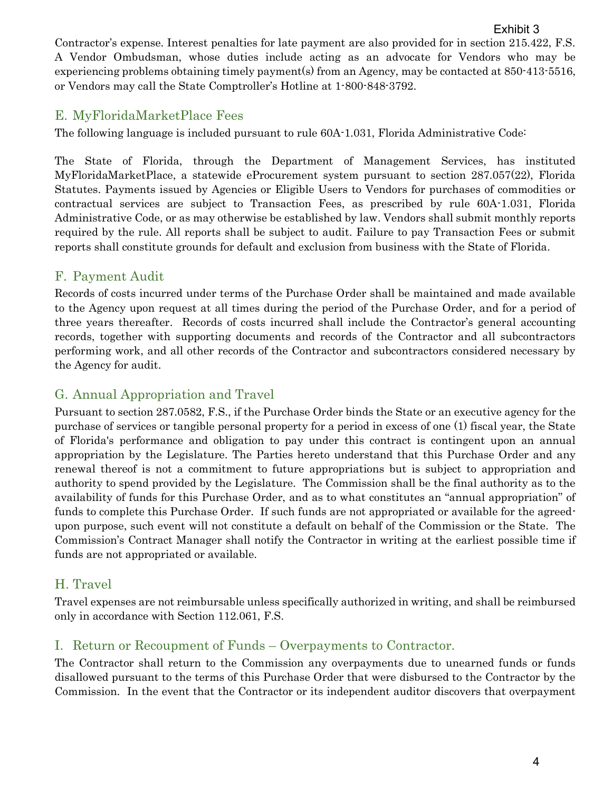Contractor's expense. Interest penalties for late payment are also provided for in section 215.422, F.S. A Vendor Ombudsman, whose duties include acting as an advocate for Vendors who may be experiencing problems obtaining timely payment(s) from an Agency, may be contacted at 850-413-5516, or Vendors may call the State Comptroller's Hotline at 1-800-848-3792.

## E. MyFloridaMarketPlace Fees

The following language is included pursuant to rule 60A-1.031, Florida Administrative Code:

The State of Florida, through the Department of Management Services, has instituted MyFloridaMarketPlace, a statewide eProcurement system pursuant to section 287.057(22), Florida Statutes. Payments issued by Agencies or Eligible Users to Vendors for purchases of commodities or contractual services are subject to Transaction Fees, as prescribed by rule 60A-1.031, Florida Administrative Code, or as may otherwise be established by law. Vendors shall submit monthly reports required by the rule. All reports shall be subject to audit. Failure to pay Transaction Fees or submit reports shall constitute grounds for default and exclusion from business with the State of Florida.

## F. Payment Audit

Records of costs incurred under terms of the Purchase Order shall be maintained and made available to the Agency upon request at all times during the period of the Purchase Order, and for a period of three years thereafter. Records of costs incurred shall include the Contractor's general accounting records, together with supporting documents and records of the Contractor and all subcontractors performing work, and all other records of the Contractor and subcontractors considered necessary by the Agency for audit.

## G. Annual Appropriation and Travel

Pursuant to section 287.0582, F.S., if the Purchase Order binds the State or an executive agency for the purchase of services or tangible personal property for a period in excess of one (1) fiscal year, the State of Florida's performance and obligation to pay under this contract is contingent upon an annual appropriation by the Legislature. The Parties hereto understand that this Purchase Order and any renewal thereof is not a commitment to future appropriations but is subject to appropriation and authority to spend provided by the Legislature. The Commission shall be the final authority as to the availability of funds for this Purchase Order, and as to what constitutes an "annual appropriation" of funds to complete this Purchase Order. If such funds are not appropriated or available for the agreedupon purpose, such event will not constitute a default on behalf of the Commission or the State. The Commission's Contract Manager shall notify the Contractor in writing at the earliest possible time if funds are not appropriated or available.

## H. Travel

Travel expenses are not reimbursable unless specifically authorized in writing, and shall be reimbursed only in accordance with Section 112.061, F.S.

## I. Return or Recoupment of Funds – Overpayments to Contractor.

The Contractor shall return to the Commission any overpayments due to unearned funds or funds disallowed pursuant to the terms of this Purchase Order that were disbursed to the Contractor by the Commission. In the event that the Contractor or its independent auditor discovers that overpayment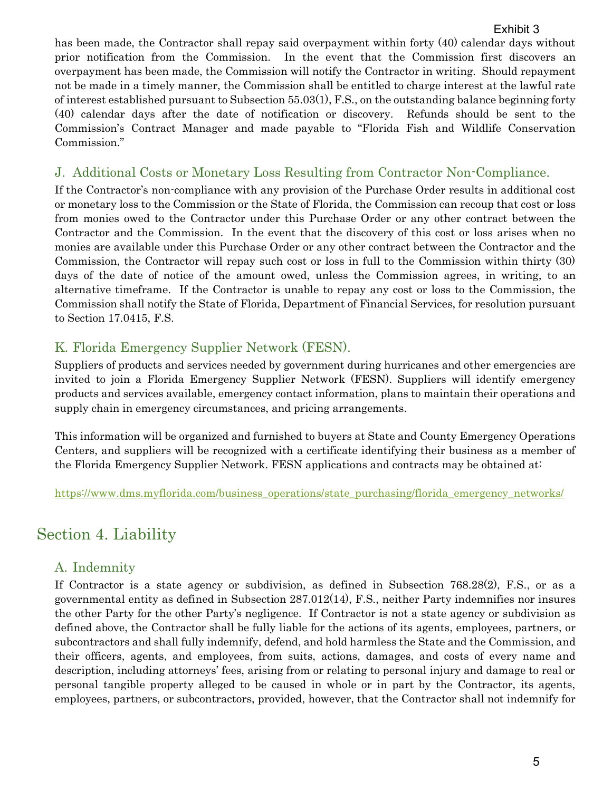#### Exhibit 3

has been made, the Contractor shall repay said overpayment within forty (40) calendar days without prior notification from the Commission. In the event that the Commission first discovers an overpayment has been made, the Commission will notify the Contractor in writing. Should repayment not be made in a timely manner, the Commission shall be entitled to charge interest at the lawful rate of interest established pursuant to Subsection 55.03(1), F.S., on the outstanding balance beginning forty (40) calendar days after the date of notification or discovery. Refunds should be sent to the Commission's Contract Manager and made payable to "Florida Fish and Wildlife Conservation Commission."

### J. Additional Costs or Monetary Loss Resulting from Contractor Non-Compliance.

If the Contractor's non-compliance with any provision of the Purchase Order results in additional cost or monetary loss to the Commission or the State of Florida, the Commission can recoup that cost or loss from monies owed to the Contractor under this Purchase Order or any other contract between the Contractor and the Commission. In the event that the discovery of this cost or loss arises when no monies are available under this Purchase Order or any other contract between the Contractor and the Commission, the Contractor will repay such cost or loss in full to the Commission within thirty (30) days of the date of notice of the amount owed, unless the Commission agrees, in writing, to an alternative timeframe. If the Contractor is unable to repay any cost or loss to the Commission, the Commission shall notify the State of Florida, Department of Financial Services, for resolution pursuant to Section 17.0415, F.S.

## K. Florida Emergency Supplier Network (FESN).

Suppliers of products and services needed by government during hurricanes and other emergencies are invited to join a Florida Emergency Supplier Network (FESN). Suppliers will identify emergency products and services available, emergency contact information, plans to maintain their operations and supply chain in emergency circumstances, and pricing arrangements.

This information will be organized and furnished to buyers at State and County Emergency Operations Centers, and suppliers will be recognized with a certificate identifying their business as a member of the Florida Emergency Supplier Network. FESN applications and contracts may be obtained at:

[https://www.dms.myflorida.com/business\\_operations/state\\_purchasing/florida\\_emergency\\_networks/](https://www.dms.myflorida.com/business_operations/state_purchasing/florida_emergency_networks/)

# Section 4. Liability

## A. Indemnity

If Contractor is a state agency or subdivision, as defined in Subsection 768.28(2), F.S., or as a governmental entity as defined in Subsection 287.012(14), F.S., neither Party indemnifies nor insures the other Party for the other Party's negligence. If Contractor is not a state agency or subdivision as defined above, the Contractor shall be fully liable for the actions of its agents, employees, partners, or subcontractors and shall fully indemnify, defend, and hold harmless the State and the Commission, and their officers, agents, and employees, from suits, actions, damages, and costs of every name and description, including attorneys' fees, arising from or relating to personal injury and damage to real or personal tangible property alleged to be caused in whole or in part by the Contractor, its agents, employees, partners, or subcontractors, provided, however, that the Contractor shall not indemnify for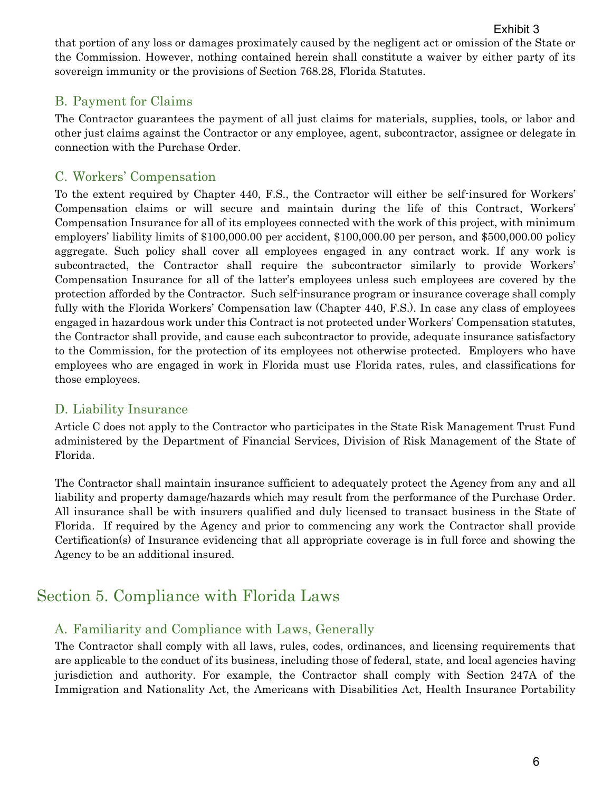that portion of any loss or damages proximately caused by the negligent act or omission of the State or the Commission. However, nothing contained herein shall constitute a waiver by either party of its sovereign immunity or the provisions of Section 768.28, Florida Statutes.

## B. Payment for Claims

The Contractor guarantees the payment of all just claims for materials, supplies, tools, or labor and other just claims against the Contractor or any employee, agent, subcontractor, assignee or delegate in connection with the Purchase Order.

## C. Workers' Compensation

To the extent required by Chapter 440, F.S., the Contractor will either be self-insured for Workers' Compensation claims or will secure and maintain during the life of this Contract, Workers' Compensation Insurance for all of its employees connected with the work of this project, with minimum employers' liability limits of \$100,000.00 per accident, \$100,000.00 per person, and \$500,000.00 policy aggregate. Such policy shall cover all employees engaged in any contract work. If any work is subcontracted, the Contractor shall require the subcontractor similarly to provide Workers' Compensation Insurance for all of the latter's employees unless such employees are covered by the protection afforded by the Contractor. Such self-insurance program or insurance coverage shall comply fully with the Florida Workers' Compensation law (Chapter 440, F.S.). In case any class of employees engaged in hazardous work under this Contract is not protected under Workers' Compensation statutes, the Contractor shall provide, and cause each subcontractor to provide, adequate insurance satisfactory to the Commission, for the protection of its employees not otherwise protected. Employers who have employees who are engaged in work in Florida must use Florida rates, rules, and classifications for those employees.

## D. Liability Insurance

Article C does not apply to the Contractor who participates in the State Risk Management Trust Fund administered by the Department of Financial Services, Division of Risk Management of the State of Florida.

The Contractor shall maintain insurance sufficient to adequately protect the Agency from any and all liability and property damage/hazards which may result from the performance of the Purchase Order. All insurance shall be with insurers qualified and duly licensed to transact business in the State of Florida. If required by the Agency and prior to commencing any work the Contractor shall provide Certification(s) of Insurance evidencing that all appropriate coverage is in full force and showing the Agency to be an additional insured.

# Section 5. Compliance with Florida Laws

## A. Familiarity and Compliance with Laws, Generally

The Contractor shall comply with all laws, rules, codes, ordinances, and licensing requirements that are applicable to the conduct of its business, including those of federal, state, and local agencies having jurisdiction and authority. For example, the Contractor shall comply with Section 247A of the Immigration and Nationality Act, the Americans with Disabilities Act, Health Insurance Portability

Exhibit 3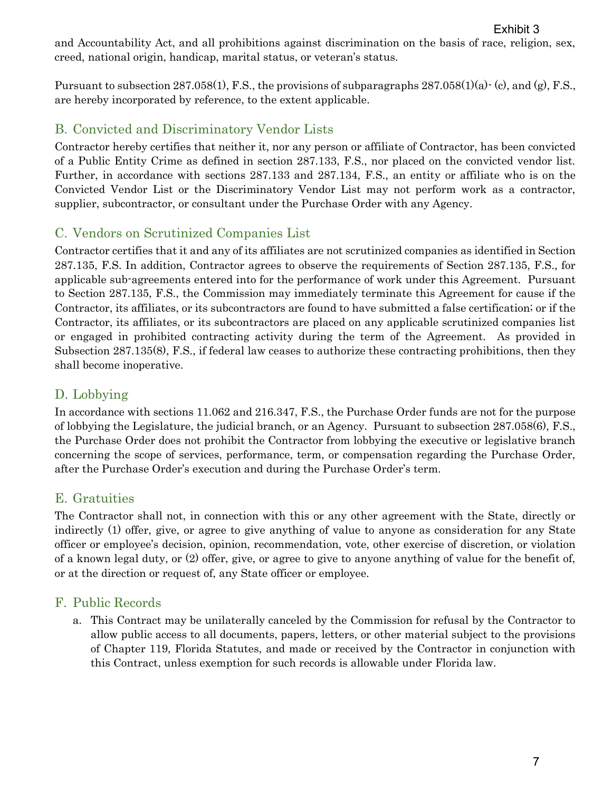and Accountability Act, and all prohibitions against discrimination on the basis of race, religion, sex, creed, national origin, handicap, marital status, or veteran's status. Exhibit 3

Pursuant to subsection  $287.058(1)$ , F.S., the provisions of subparagraphs  $287.058(1)(a)$  (c), and (g), F.S., are hereby incorporated by reference, to the extent applicable.

## B. Convicted and Discriminatory Vendor Lists

Contractor hereby certifies that neither it, nor any person or affiliate of Contractor, has been convicted of a Public Entity Crime as defined in section 287.133, F.S., nor placed on the convicted vendor list. Further, in accordance with sections 287.133 and 287.134, F.S., an entity or affiliate who is on the Convicted Vendor List or the Discriminatory Vendor List may not perform work as a contractor, supplier, subcontractor, or consultant under the Purchase Order with any Agency.

## C. Vendors on Scrutinized Companies List

Contractor certifies that it and any of its affiliates are not scrutinized companies as identified in Section 287.135, F.S. In addition, Contractor agrees to observe the requirements of Section 287.135, F.S., for applicable sub-agreements entered into for the performance of work under this Agreement. Pursuant to Section 287.135, F.S., the Commission may immediately terminate this Agreement for cause if the Contractor, its affiliates, or its subcontractors are found to have submitted a false certification; or if the Contractor, its affiliates, or its subcontractors are placed on any applicable scrutinized companies list or engaged in prohibited contracting activity during the term of the Agreement. As provided in Subsection 287.135(8), F.S., if federal law ceases to authorize these contracting prohibitions, then they shall become inoperative.

## D. Lobbying

In accordance with sections 11.062 and 216.347, F.S., the Purchase Order funds are not for the purpose of lobbying the Legislature, the judicial branch, or an Agency. Pursuant to subsection 287.058(6), F.S., the Purchase Order does not prohibit the Contractor from lobbying the executive or legislative branch concerning the scope of services, performance, term, or compensation regarding the Purchase Order, after the Purchase Order's execution and during the Purchase Order's term.

## E. Gratuities

The Contractor shall not, in connection with this or any other agreement with the State, directly or indirectly (1) offer, give, or agree to give anything of value to anyone as consideration for any State officer or employee's decision, opinion, recommendation, vote, other exercise of discretion, or violation of a known legal duty, or (2) offer, give, or agree to give to anyone anything of value for the benefit of, or at the direction or request of, any State officer or employee.

## F. Public Records

a. This Contract may be unilaterally canceled by the Commission for refusal by the Contractor to allow public access to all documents, papers, letters, or other material subject to the provisions of Chapter 119, Florida Statutes, and made or received by the Contractor in conjunction with this Contract, unless exemption for such records is allowable under Florida law.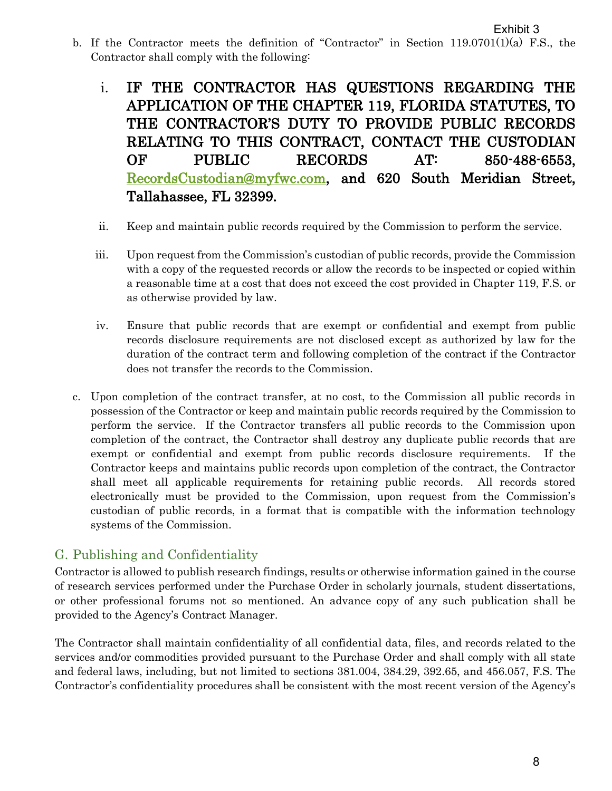- b. If the Contractor meets the definition of "Contractor" in Section 119.0701(1)(a) F.S., the Contractor shall comply with the following:
	- i. IF THE CONTRACTOR HAS QUESTIONS REGARDING THE APPLICATION OF THE CHAPTER 119, FLORIDA STATUTES, TO THE CONTRACTOR'S DUTY TO PROVIDE PUBLIC RECORDS RELATING TO THIS CONTRACT, CONTACT THE CUSTODIAN OF PUBLIC RECORDS AT: 850-488-6553, [RecordsCustodian@myfwc.com,](mailto:RecordsCustodian@myfwc.com) and 620 South Meridian Street, Tallahassee, FL 32399.
	- ii. Keep and maintain public records required by the Commission to perform the service.
	- iii. Upon request from the Commission's custodian of public records, provide the Commission with a copy of the requested records or allow the records to be inspected or copied within a reasonable time at a cost that does not exceed the cost provided in Chapter 119, F.S. or as otherwise provided by law.
	- iv. Ensure that public records that are exempt or confidential and exempt from public records disclosure requirements are not disclosed except as authorized by law for the duration of the contract term and following completion of the contract if the Contractor does not transfer the records to the Commission.
- c. Upon completion of the contract transfer, at no cost, to the Commission all public records in possession of the Contractor or keep and maintain public records required by the Commission to perform the service. If the Contractor transfers all public records to the Commission upon completion of the contract, the Contractor shall destroy any duplicate public records that are exempt or confidential and exempt from public records disclosure requirements. If the Contractor keeps and maintains public records upon completion of the contract, the Contractor shall meet all applicable requirements for retaining public records. All records stored electronically must be provided to the Commission, upon request from the Commission's custodian of public records, in a format that is compatible with the information technology systems of the Commission.

## G. Publishing and Confidentiality

Contractor is allowed to publish research findings, results or otherwise information gained in the course of research services performed under the Purchase Order in scholarly journals, student dissertations, or other professional forums not so mentioned. An advance copy of any such publication shall be provided to the Agency's Contract Manager.

The Contractor shall maintain confidentiality of all confidential data, files, and records related to the services and/or commodities provided pursuant to the Purchase Order and shall comply with all state and federal laws, including, but not limited to sections 381.004, 384.29, 392.65, and 456.057, F.S. The Contractor's confidentiality procedures shall be consistent with the most recent version of the Agency's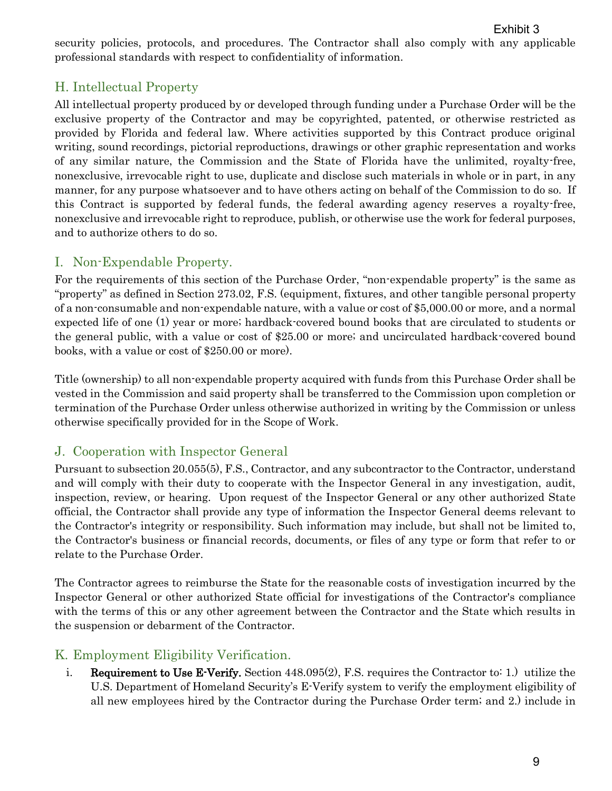security policies, protocols, and procedures. The Contractor shall also comply with any applicable professional standards with respect to confidentiality of information.

## H. Intellectual Property

All intellectual property produced by or developed through funding under a Purchase Order will be the exclusive property of the Contractor and may be copyrighted, patented, or otherwise restricted as provided by Florida and federal law. Where activities supported by this Contract produce original writing, sound recordings, pictorial reproductions, drawings or other graphic representation and works of any similar nature, the Commission and the State of Florida have the unlimited, royalty-free, nonexclusive, irrevocable right to use, duplicate and disclose such materials in whole or in part, in any manner, for any purpose whatsoever and to have others acting on behalf of the Commission to do so. If this Contract is supported by federal funds, the federal awarding agency reserves a royalty-free, nonexclusive and irrevocable right to reproduce, publish, or otherwise use the work for federal purposes, and to authorize others to do so.

## I. Non-Expendable Property.

For the requirements of this section of the Purchase Order, "non-expendable property" is the same as "property" as defined in Section 273.02, F.S. (equipment, fixtures, and other tangible personal property of a non-consumable and non-expendable nature, with a value or cost of \$5,000.00 or more, and a normal expected life of one (1) year or more; hardback-covered bound books that are circulated to students or the general public, with a value or cost of \$25.00 or more; and uncirculated hardback-covered bound books, with a value or cost of \$250.00 or more).

Title (ownership) to all non-expendable property acquired with funds from this Purchase Order shall be vested in the Commission and said property shall be transferred to the Commission upon completion or termination of the Purchase Order unless otherwise authorized in writing by the Commission or unless otherwise specifically provided for in the Scope of Work.

## J. Cooperation with Inspector General

Pursuant to subsection 20.055(5), F.S., Contractor, and any subcontractor to the Contractor, understand and will comply with their duty to cooperate with the Inspector General in any investigation, audit, inspection, review, or hearing. Upon request of the Inspector General or any other authorized State official, the Contractor shall provide any type of information the Inspector General deems relevant to the Contractor's integrity or responsibility. Such information may include, but shall not be limited to, the Contractor's business or financial records, documents, or files of any type or form that refer to or relate to the Purchase Order.

The Contractor agrees to reimburse the State for the reasonable costs of investigation incurred by the Inspector General or other authorized State official for investigations of the Contractor's compliance with the terms of this or any other agreement between the Contractor and the State which results in the suspension or debarment of the Contractor.

## K. Employment Eligibility Verification.

i. Requirement to Use E-Verify. Section 448.095(2), F.S. requires the Contractor to: 1.) utilize the U.S. Department of Homeland Security's E-Verify system to verify the employment eligibility of all new employees hired by the Contractor during the Purchase Order term; and 2.) include in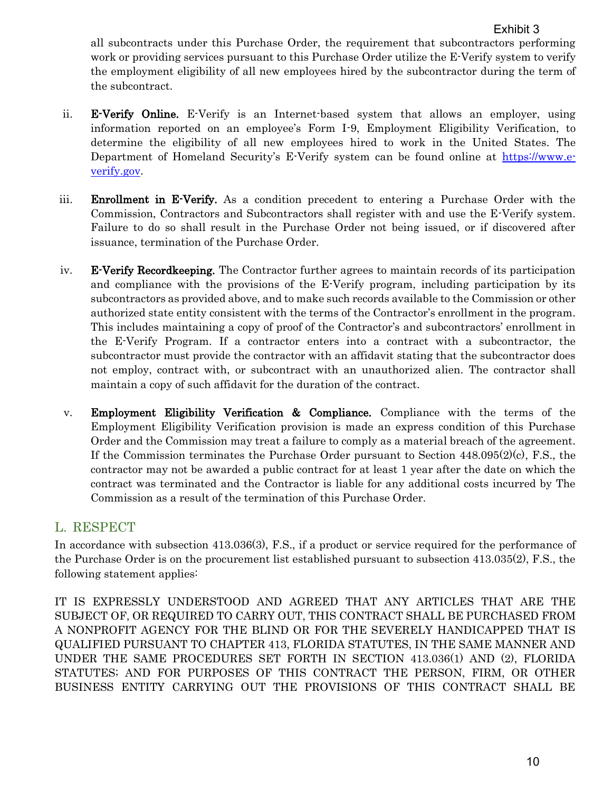all subcontracts under this Purchase Order, the requirement that subcontractors performing work or providing services pursuant to this Purchase Order utilize the E-Verify system to verify the employment eligibility of all new employees hired by the subcontractor during the term of the subcontract.

- ii. E-Verify Online. E-Verify is an Internet-based system that allows an employer, using information reported on an employee's Form I-9, Employment Eligibility Verification, to determine the eligibility of all new employees hired to work in the United States. The Department of Homeland Security's E-Verify system can be found online at [https://www.e](https://www.e-verify.gov/)[verify.gov.](https://www.e-verify.gov/)
- iii. Enrollment in E-Verify. As a condition precedent to entering a Purchase Order with the Commission, Contractors and Subcontractors shall register with and use the E-Verify system. Failure to do so shall result in the Purchase Order not being issued, or if discovered after issuance, termination of the Purchase Order.
- iv. E-Verify Recordkeeping. The Contractor further agrees to maintain records of its participation and compliance with the provisions of the E-Verify program, including participation by its subcontractors as provided above, and to make such records available to the Commission or other authorized state entity consistent with the terms of the Contractor's enrollment in the program. This includes maintaining a copy of proof of the Contractor's and subcontractors' enrollment in the E-Verify Program. If a contractor enters into a contract with a subcontractor, the subcontractor must provide the contractor with an affidavit stating that the subcontractor does not employ, contract with, or subcontract with an unauthorized alien. The contractor shall maintain a copy of such affidavit for the duration of the contract.
- v. Employment Eligibility Verification & Compliance. Compliance with the terms of the Employment Eligibility Verification provision is made an express condition of this Purchase Order and the Commission may treat a failure to comply as a material breach of the agreement. If the Commission terminates the Purchase Order pursuant to Section 448.095(2)(c), F.S., the contractor may not be awarded a public contract for at least 1 year after the date on which the contract was terminated and the Contractor is liable for any additional costs incurred by The Commission as a result of the termination of this Purchase Order.

### L. RESPECT

In accordance with subsection 413.036(3), F.S., if a product or service required for the performance of the Purchase Order is on the procurement list established pursuant to subsection 413.035(2), F.S., the following statement applies:

IT IS EXPRESSLY UNDERSTOOD AND AGREED THAT ANY ARTICLES THAT ARE THE SUBJECT OF, OR REQUIRED TO CARRY OUT, THIS CONTRACT SHALL BE PURCHASED FROM A NONPROFIT AGENCY FOR THE BLIND OR FOR THE SEVERELY HANDICAPPED THAT IS QUALIFIED PURSUANT TO CHAPTER 413, FLORIDA STATUTES, IN THE SAME MANNER AND UNDER THE SAME PROCEDURES SET FORTH IN SECTION 413.036(1) AND (2), FLORIDA STATUTES; AND FOR PURPOSES OF THIS CONTRACT THE PERSON, FIRM, OR OTHER BUSINESS ENTITY CARRYING OUT THE PROVISIONS OF THIS CONTRACT SHALL BE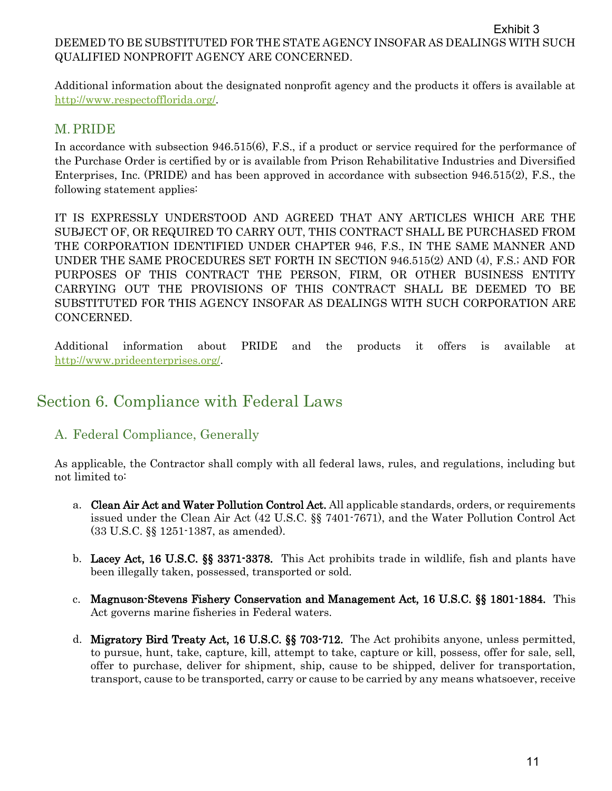#### DEEMED TO BE SUBSTITUTED FOR THE STATE AGENCY INSOFAR AS DEALINGS WITH SUCH QUALIFIED NONPROFIT AGENCY ARE CONCERNED. Exhibit 3

Additional information about the designated nonprofit agency and the products it offers is available at [http://www.respectofflorida.org/.](http://www.respectofflorida.org/)

### M. PRIDE

In accordance with subsection 946.515(6), F.S., if a product or service required for the performance of the Purchase Order is certified by or is available from Prison Rehabilitative Industries and Diversified Enterprises, Inc. (PRIDE) and has been approved in accordance with subsection 946.515(2), F.S., the following statement applies:

IT IS EXPRESSLY UNDERSTOOD AND AGREED THAT ANY ARTICLES WHICH ARE THE SUBJECT OF, OR REQUIRED TO CARRY OUT, THIS CONTRACT SHALL BE PURCHASED FROM THE CORPORATION IDENTIFIED UNDER CHAPTER 946, F.S., IN THE SAME MANNER AND UNDER THE SAME PROCEDURES SET FORTH IN SECTION 946.515(2) AND (4), F.S.; AND FOR PURPOSES OF THIS CONTRACT THE PERSON, FIRM, OR OTHER BUSINESS ENTITY CARRYING OUT THE PROVISIONS OF THIS CONTRACT SHALL BE DEEMED TO BE SUBSTITUTED FOR THIS AGENCY INSOFAR AS DEALINGS WITH SUCH CORPORATION ARE CONCERNED.

Additional information about PRIDE and the products it offers is available at [http://www.prideenterprises.org/.](http://www.prideenterprises.org/)

# Section 6. Compliance with Federal Laws

## A. Federal Compliance, Generally

As applicable, the Contractor shall comply with all federal laws, rules, and regulations, including but not limited to:

- a. Clean Air Act and Water Pollution Control Act. All applicable standards, orders, or requirements issued under the Clean Air Act (42 U.S.C. §§ 7401-7671), and the Water Pollution Control Act (33 U.S.C. §§ 1251-1387, as amended).
- b. Lacey Act, 16 U.S.C. §§ 3371-3378. This Act prohibits trade in wildlife, fish and plants have been illegally taken, possessed, transported or sold.
- c. Magnuson-Stevens Fishery Conservation and Management Act, 16 U.S.C. §§ 1801-1884. This Act governs marine fisheries in Federal waters.
- d. Migratory Bird Treaty Act, 16 U.S.C. §§ 703-712. The Act prohibits anyone, unless permitted, to pursue, hunt, take, capture, kill, attempt to take, capture or kill, possess, offer for sale, sell, offer to purchase, deliver for shipment, ship, cause to be shipped, deliver for transportation, transport, cause to be transported, carry or cause to be carried by any means whatsoever, receive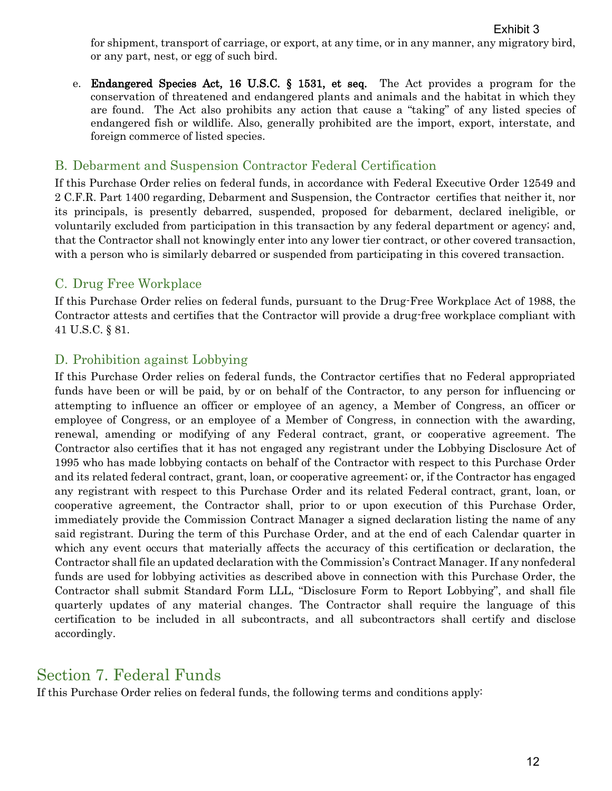for shipment, transport of carriage, or export, at any time, or in any manner, any migratory bird, or any part, nest, or egg of such bird.

e. Endangered Species Act, 16 U.S.C. § 1531, et seq. The Act provides a program for the conservation of threatened and endangered plants and animals and the habitat in which they are found. The Act also prohibits any action that cause a "taking" of any listed species of endangered fish or wildlife. Also, generally prohibited are the import, export, interstate, and foreign commerce of listed species.

#### B. Debarment and Suspension Contractor Federal Certification

If this Purchase Order relies on federal funds, in accordance with Federal Executive Order 12549 and 2 C.F.R. Part 1400 regarding, Debarment and Suspension, the Contractor certifies that neither it, nor its principals, is presently debarred, suspended, proposed for debarment, declared ineligible, or voluntarily excluded from participation in this transaction by any federal department or agency; and, that the Contractor shall not knowingly enter into any lower tier contract, or other covered transaction, with a person who is similarly debarred or suspended from participating in this covered transaction.

#### C. Drug Free Workplace

If this Purchase Order relies on federal funds, pursuant to the Drug-Free Workplace Act of 1988, the Contractor attests and certifies that the Contractor will provide a drug-free workplace compliant with 41 U.S.C. § 81.

#### D. Prohibition against Lobbying

If this Purchase Order relies on federal funds, the Contractor certifies that no Federal appropriated funds have been or will be paid, by or on behalf of the Contractor, to any person for influencing or attempting to influence an officer or employee of an agency, a Member of Congress, an officer or employee of Congress, or an employee of a Member of Congress, in connection with the awarding, renewal, amending or modifying of any Federal contract, grant, or cooperative agreement. The Contractor also certifies that it has not engaged any registrant under the Lobbying Disclosure Act of 1995 who has made lobbying contacts on behalf of the Contractor with respect to this Purchase Order and its related federal contract, grant, loan, or cooperative agreement; or, if the Contractor has engaged any registrant with respect to this Purchase Order and its related Federal contract, grant, loan, or cooperative agreement, the Contractor shall, prior to or upon execution of this Purchase Order, immediately provide the Commission Contract Manager a signed declaration listing the name of any said registrant. During the term of this Purchase Order, and at the end of each Calendar quarter in which any event occurs that materially affects the accuracy of this certification or declaration, the Contractor shall file an updated declaration with the Commission's Contract Manager. If any nonfederal funds are used for lobbying activities as described above in connection with this Purchase Order, the Contractor shall submit Standard Form LLL, "Disclosure Form to Report Lobbying", and shall file quarterly updates of any material changes. The Contractor shall require the language of this certification to be included in all subcontracts, and all subcontractors shall certify and disclose accordingly.

## Section 7. Federal Funds

If this Purchase Order relies on federal funds, the following terms and conditions apply: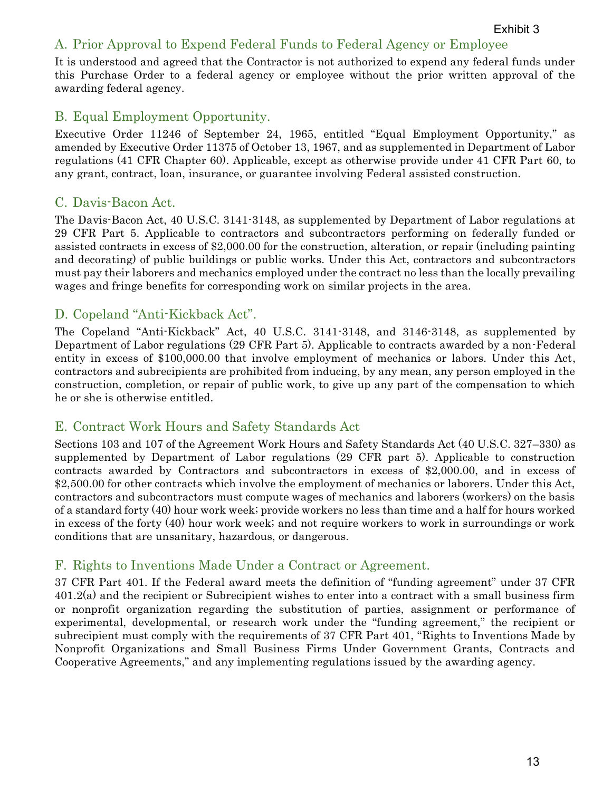## A. Prior Approval to Expend Federal Funds to Federal Agency or Employee

It is understood and agreed that the Contractor is not authorized to expend any federal funds under this Purchase Order to a federal agency or employee without the prior written approval of the awarding federal agency.

### B. Equal Employment Opportunity.

Executive Order 11246 of September 24, 1965, entitled "Equal Employment Opportunity," as amended by Executive Order 11375 of October 13, 1967, and as supplemented in Department of Labor regulations (41 CFR Chapter 60). Applicable, except as otherwise provide under 41 CFR Part 60, to any grant, contract, loan, insurance, or guarantee involving Federal assisted construction.

## C. Davis-Bacon Act.

The Davis-Bacon Act, 40 U.S.C. 3141-3148, as supplemented by Department of Labor regulations at 29 CFR Part 5. Applicable to contractors and subcontractors performing on federally funded or assisted contracts in excess of \$2,000.00 for the construction, alteration, or repair (including painting and decorating) of public buildings or public works. Under this Act, contractors and subcontractors must pay their laborers and mechanics employed under the contract no less than the locally prevailing wages and fringe benefits for corresponding work on similar projects in the area.

## D. Copeland "Anti-Kickback Act".

The Copeland "Anti-Kickback" Act, 40 U.S.C. 3141-3148, and 3146-3148, as supplemented by Department of Labor regulations (29 CFR Part 5). Applicable to contracts awarded by a non-Federal entity in excess of \$100,000.00 that involve employment of mechanics or labors. Under this Act, contractors and subrecipients are prohibited from inducing, by any mean, any person employed in the construction, completion, or repair of public work, to give up any part of the compensation to which he or she is otherwise entitled.

### E. Contract Work Hours and Safety Standards Act

Sections 103 and 107 of the Agreement Work Hours and Safety Standards Act (40 U.S.C. 327–330) as supplemented by Department of Labor regulations (29 CFR part 5). Applicable to construction contracts awarded by Contractors and subcontractors in excess of \$2,000.00, and in excess of \$2,500.00 for other contracts which involve the employment of mechanics or laborers. Under this Act, contractors and subcontractors must compute wages of mechanics and laborers (workers) on the basis of a standard forty (40) hour work week; provide workers no less than time and a half for hours worked in excess of the forty (40) hour work week; and not require workers to work in surroundings or work conditions that are unsanitary, hazardous, or dangerous.

## F. Rights to Inventions Made Under a Contract or Agreement.

37 CFR Part 401. If the Federal award meets the definition of "funding agreement" under 37 CFR 401.2(a) and the recipient or Subrecipient wishes to enter into a contract with a small business firm or nonprofit organization regarding the substitution of parties, assignment or performance of experimental, developmental, or research work under the "funding agreement," the recipient or subrecipient must comply with the requirements of 37 CFR Part 401, "Rights to Inventions Made by Nonprofit Organizations and Small Business Firms Under Government Grants, Contracts and Cooperative Agreements," and any implementing regulations issued by the awarding agency.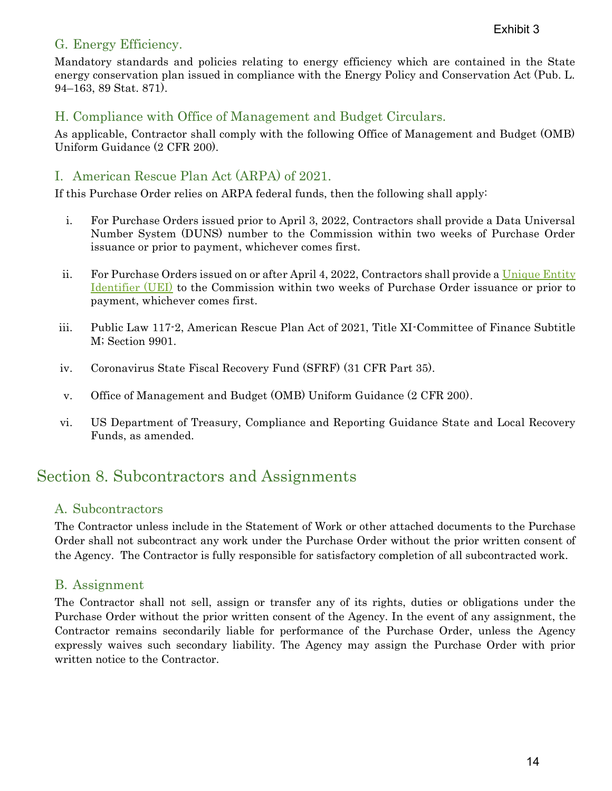### G. Energy Efficiency.

Mandatory standards and policies relating to energy efficiency which are contained in the State energy conservation plan issued in compliance with the Energy Policy and Conservation Act (Pub. L. 94–163, 89 Stat. 871).

### H. Compliance with Office of Management and Budget Circulars.

As applicable, Contractor shall comply with the following Office of Management and Budget (OMB) Uniform Guidance (2 CFR 200).

## I. American Rescue Plan Act (ARPA) of 2021.

If this Purchase Order relies on ARPA federal funds, then the following shall apply:

- i. For Purchase Orders issued prior to April 3, 2022, Contractors shall provide a Data Universal Number System (DUNS) number to the Commission within two weeks of Purchase Order issuance or prior to payment, whichever comes first.
- ii. For Purchase Orders issued on or after April 4, 2022, Contractors shall provide a [Unique Entity](https://sam.gov/content/home)  [Identifier \(UEI\)](https://sam.gov/content/home) to the Commission within two weeks of Purchase Order issuance or prior to payment, whichever comes first.
- iii. Public Law 117-2, American Rescue Plan Act of 2021, Title XI-Committee of Finance Subtitle M; Section 9901.
- iv. Coronavirus State Fiscal Recovery Fund (SFRF) (31 CFR Part 35).
- v. Office of Management and Budget (OMB) Uniform Guidance (2 CFR 200).
- vi. US Department of Treasury, Compliance and Reporting Guidance State and Local Recovery Funds, as amended.

# Section 8. Subcontractors and Assignments

### A. Subcontractors

The Contractor unless include in the Statement of Work or other attached documents to the Purchase Order shall not subcontract any work under the Purchase Order without the prior written consent of the Agency. The Contractor is fully responsible for satisfactory completion of all subcontracted work.

### B. Assignment

The Contractor shall not sell, assign or transfer any of its rights, duties or obligations under the Purchase Order without the prior written consent of the Agency. In the event of any assignment, the Contractor remains secondarily liable for performance of the Purchase Order, unless the Agency expressly waives such secondary liability. The Agency may assign the Purchase Order with prior written notice to the Contractor.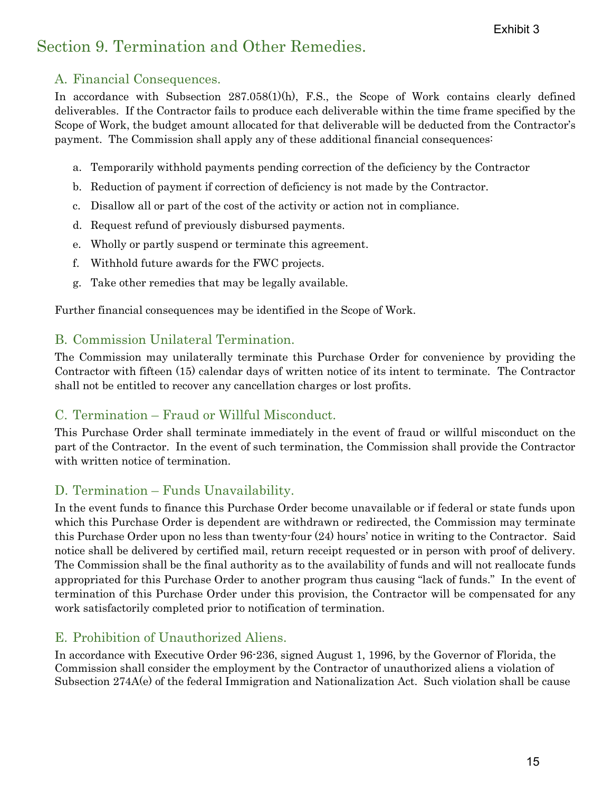# Section 9. Termination and Other Remedies.

### A. Financial Consequences.

In accordance with Subsection 287.058(1)(h), F.S., the Scope of Work contains clearly defined deliverables. If the Contractor fails to produce each deliverable within the time frame specified by the Scope of Work, the budget amount allocated for that deliverable will be deducted from the Contractor's payment. The Commission shall apply any of these additional financial consequences:

- a. Temporarily withhold payments pending correction of the deficiency by the Contractor
- b. Reduction of payment if correction of deficiency is not made by the Contractor.
- c. Disallow all or part of the cost of the activity or action not in compliance.
- d. Request refund of previously disbursed payments.
- e. Wholly or partly suspend or terminate this agreement.
- f. Withhold future awards for the FWC projects.
- g. Take other remedies that may be legally available.

Further financial consequences may be identified in the Scope of Work.

## B. Commission Unilateral Termination.

The Commission may unilaterally terminate this Purchase Order for convenience by providing the Contractor with fifteen (15) calendar days of written notice of its intent to terminate. The Contractor shall not be entitled to recover any cancellation charges or lost profits.

## C. Termination – Fraud or Willful Misconduct.

This Purchase Order shall terminate immediately in the event of fraud or willful misconduct on the part of the Contractor. In the event of such termination, the Commission shall provide the Contractor with written notice of termination.

## D. Termination – Funds Unavailability.

In the event funds to finance this Purchase Order become unavailable or if federal or state funds upon which this Purchase Order is dependent are withdrawn or redirected, the Commission may terminate this Purchase Order upon no less than twenty-four (24) hours' notice in writing to the Contractor. Said notice shall be delivered by certified mail, return receipt requested or in person with proof of delivery. The Commission shall be the final authority as to the availability of funds and will not reallocate funds appropriated for this Purchase Order to another program thus causing "lack of funds." In the event of termination of this Purchase Order under this provision, the Contractor will be compensated for any work satisfactorily completed prior to notification of termination.

## E. Prohibition of Unauthorized Aliens.

In accordance with Executive Order 96-236, signed August 1, 1996, by the Governor of Florida, the Commission shall consider the employment by the Contractor of unauthorized aliens a violation of Subsection 274A(e) of the federal Immigration and Nationalization Act. Such violation shall be cause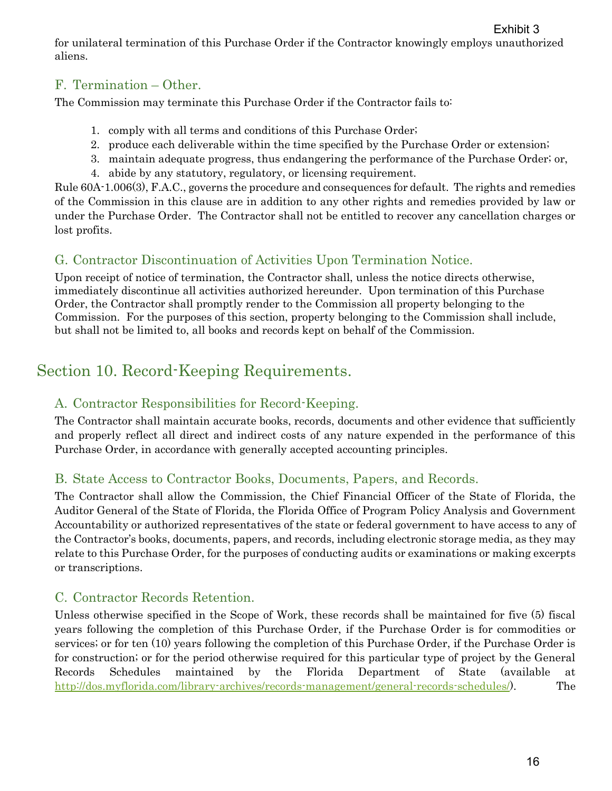## F. Termination – Other.

The Commission may terminate this Purchase Order if the Contractor fails to:

- 1. comply with all terms and conditions of this Purchase Order;
- 2. produce each deliverable within the time specified by the Purchase Order or extension;
- 3. maintain adequate progress, thus endangering the performance of the Purchase Order; or,
- 4. abide by any statutory, regulatory, or licensing requirement.

Rule 60A-1.006(3), F.A.C., governs the procedure and consequences for default. The rights and remedies of the Commission in this clause are in addition to any other rights and remedies provided by law or under the Purchase Order. The Contractor shall not be entitled to recover any cancellation charges or lost profits.

## G. Contractor Discontinuation of Activities Upon Termination Notice.

Upon receipt of notice of termination, the Contractor shall, unless the notice directs otherwise, immediately discontinue all activities authorized hereunder. Upon termination of this Purchase Order, the Contractor shall promptly render to the Commission all property belonging to the Commission. For the purposes of this section, property belonging to the Commission shall include, but shall not be limited to, all books and records kept on behalf of the Commission.

# Section 10. Record-Keeping Requirements.

## A. Contractor Responsibilities for Record-Keeping.

The Contractor shall maintain accurate books, records, documents and other evidence that sufficiently and properly reflect all direct and indirect costs of any nature expended in the performance of this Purchase Order, in accordance with generally accepted accounting principles.

## B. State Access to Contractor Books, Documents, Papers, and Records.

The Contractor shall allow the Commission, the Chief Financial Officer of the State of Florida, the Auditor General of the State of Florida, the Florida Office of Program Policy Analysis and Government Accountability or authorized representatives of the state or federal government to have access to any of the Contractor's books, documents, papers, and records, including electronic storage media, as they may relate to this Purchase Order, for the purposes of conducting audits or examinations or making excerpts or transcriptions.

## C. Contractor Records Retention.

Unless otherwise specified in the Scope of Work, these records shall be maintained for five (5) fiscal years following the completion of this Purchase Order, if the Purchase Order is for commodities or services; or for ten (10) years following the completion of this Purchase Order, if the Purchase Order is for construction; or for the period otherwise required for this particular type of project by the General Records Schedules maintained by the Florida Department of State (available at [http://dos.myflorida.com/library-archives/records-management/general-records-schedules/\)](http://dos.myflorida.com/library-archives/records-management/general-records-schedules/). The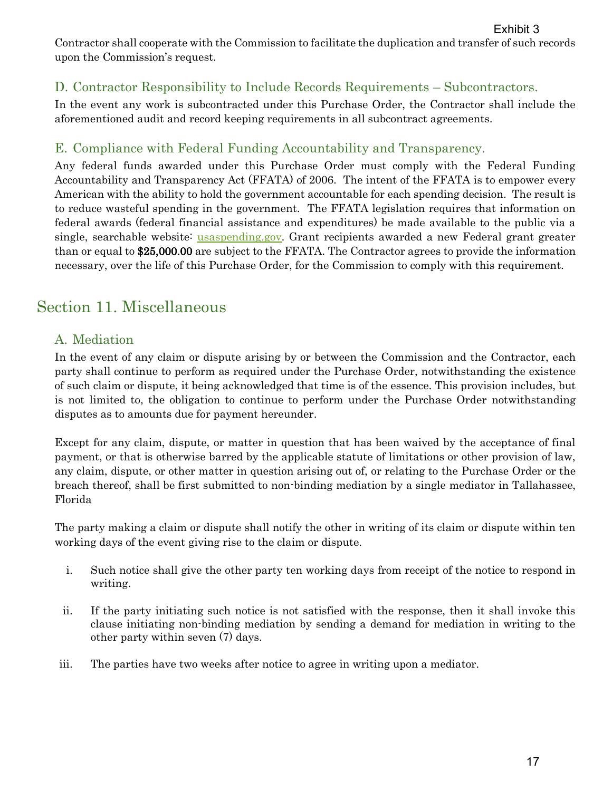Exhibit 3

Contractor shall cooperate with the Commission to facilitate the duplication and transfer of such records upon the Commission's request.

## D. Contractor Responsibility to Include Records Requirements – Subcontractors.

In the event any work is subcontracted under this Purchase Order, the Contractor shall include the aforementioned audit and record keeping requirements in all subcontract agreements.

## E. Compliance with Federal Funding Accountability and Transparency.

Any federal funds awarded under this Purchase Order must comply with the Federal Funding Accountability and Transparency Act (FFATA) of 2006. The intent of the FFATA is to empower every American with the ability to hold the government accountable for each spending decision. The result is to reduce wasteful spending in the government. The FFATA legislation requires that information on federal awards (federal financial assistance and expenditures) be made available to the public via a single, searchable website: [usaspending.gov.](https://www.usaspending.gov/) Grant recipients awarded a new Federal grant greater than or equal to \$25,000.00 are subject to the FFATA. The Contractor agrees to provide the information necessary, over the life of this Purchase Order, for the Commission to comply with this requirement.

# Section 11. Miscellaneous

## A. Mediation

In the event of any claim or dispute arising by or between the Commission and the Contractor, each party shall continue to perform as required under the Purchase Order, notwithstanding the existence of such claim or dispute, it being acknowledged that time is of the essence. This provision includes, but is not limited to, the obligation to continue to perform under the Purchase Order notwithstanding disputes as to amounts due for payment hereunder.

Except for any claim, dispute, or matter in question that has been waived by the acceptance of final payment, or that is otherwise barred by the applicable statute of limitations or other provision of law, any claim, dispute, or other matter in question arising out of, or relating to the Purchase Order or the breach thereof, shall be first submitted to non-binding mediation by a single mediator in Tallahassee, Florida

The party making a claim or dispute shall notify the other in writing of its claim or dispute within ten working days of the event giving rise to the claim or dispute.

- i. Such notice shall give the other party ten working days from receipt of the notice to respond in writing.
- ii. If the party initiating such notice is not satisfied with the response, then it shall invoke this clause initiating non-binding mediation by sending a demand for mediation in writing to the other party within seven (7) days.
- iii. The parties have two weeks after notice to agree in writing upon a mediator.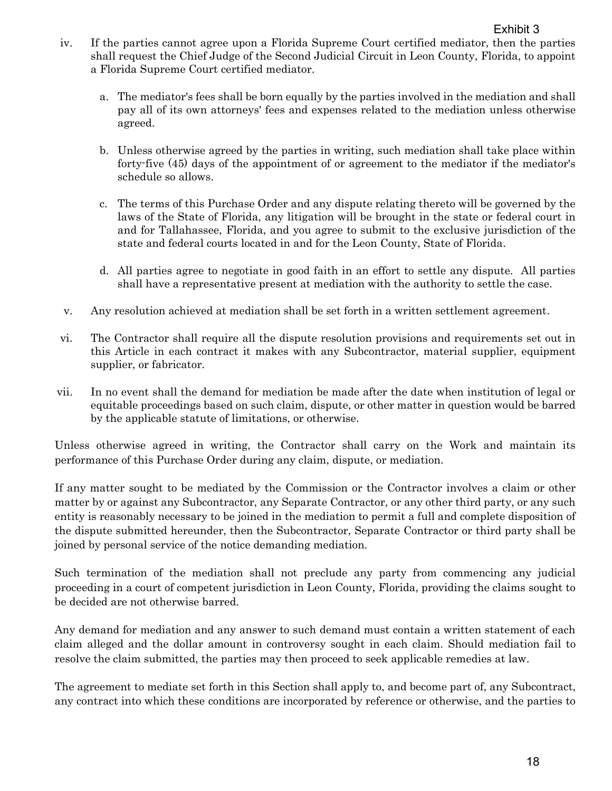- iv. If the parties cannot agree upon a Florida Supreme Court certified mediator, then the parties shall request the Chief Judge of the Second Judicial Circuit in Leon County, Florida, to appoint a Florida Supreme Court certified mediator.
	- a. The mediator's fees shall be born equally by the parties involved in the mediation and shall pay all of its own attorneys' fees and expenses related to the mediation unless otherwise agreed.
	- b. Unless otherwise agreed by the parties in writing, such mediation shall take place within forty-five (45) days of the appointment of or agreement to the mediator if the mediator's schedule so allows.
	- c. The terms of this Purchase Order and any dispute relating thereto will be governed by the laws of the State of Florida, any litigation will be brought in the state or federal court in and for Tallahassee, Florida, and you agree to submit to the exclusive jurisdiction of the state and federal courts located in and for the Leon County, State of Florida.
	- d. All parties agree to negotiate in good faith in an effort to settle any dispute. All parties shall have a representative present at mediation with the authority to settle the case.
- v. Any resolution achieved at mediation shall be set forth in a written settlement agreement.
- vi. The Contractor shall require all the dispute resolution provisions and requirements set out in this Article in each contract it makes with any Subcontractor, material supplier, equipment supplier, or fabricator.
- vii. In no event shall the demand for mediation be made after the date when institution of legal or equitable proceedings based on such claim, dispute, or other matter in question would be barred by the applicable statute of limitations, or otherwise.

Unless otherwise agreed in writing, the Contractor shall carry on the Work and maintain its performance of this Purchase Order during any claim, dispute, or mediation.

If any matter sought to be mediated by the Commission or the Contractor involves a claim or other matter by or against any Subcontractor, any Separate Contractor, or any other third party, or any such entity is reasonably necessary to be joined in the mediation to permit a full and complete disposition of the dispute submitted hereunder, then the Subcontractor, Separate Contractor or third party shall be joined by personal service of the notice demanding mediation.

Such termination of the mediation shall not preclude any party from commencing any judicial proceeding in a court of competent jurisdiction in Leon County, Florida, providing the claims sought to be decided are not otherwise barred.

Any demand for mediation and any answer to such demand must contain a written statement of each claim alleged and the dollar amount in controversy sought in each claim. Should mediation fail to resolve the claim submitted, the parties may then proceed to seek applicable remedies at law.

The agreement to mediate set forth in this Section shall apply to, and become part of, any Subcontract, any contract into which these conditions are incorporated by reference or otherwise, and the parties to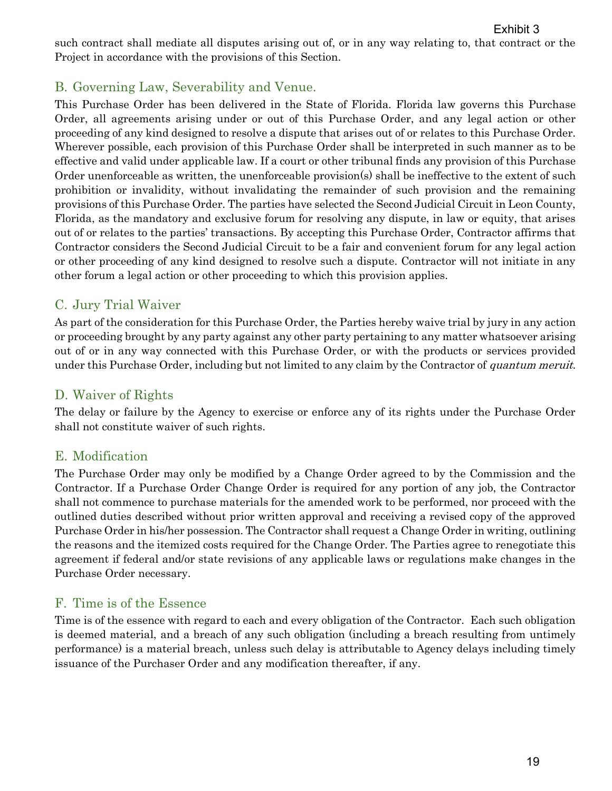Exhibit 3

such contract shall mediate all disputes arising out of, or in any way relating to, that contract or the Project in accordance with the provisions of this Section.

## B. Governing Law, Severability and Venue.

This Purchase Order has been delivered in the State of Florida. Florida law governs this Purchase Order, all agreements arising under or out of this Purchase Order, and any legal action or other proceeding of any kind designed to resolve a dispute that arises out of or relates to this Purchase Order. Wherever possible, each provision of this Purchase Order shall be interpreted in such manner as to be effective and valid under applicable law. If a court or other tribunal finds any provision of this Purchase Order unenforceable as written, the unenforceable provision(s) shall be ineffective to the extent of such prohibition or invalidity, without invalidating the remainder of such provision and the remaining provisions of this Purchase Order. The parties have selected the Second Judicial Circuit in Leon County, Florida, as the mandatory and exclusive forum for resolving any dispute, in law or equity, that arises out of or relates to the parties' transactions. By accepting this Purchase Order, Contractor affirms that Contractor considers the Second Judicial Circuit to be a fair and convenient forum for any legal action or other proceeding of any kind designed to resolve such a dispute. Contractor will not initiate in any other forum a legal action or other proceeding to which this provision applies.

## C. Jury Trial Waiver

As part of the consideration for this Purchase Order, the Parties hereby waive trial by jury in any action or proceeding brought by any party against any other party pertaining to any matter whatsoever arising out of or in any way connected with this Purchase Order, or with the products or services provided under this Purchase Order, including but not limited to any claim by the Contractor of *quantum meruit*.

## D. Waiver of Rights

The delay or failure by the Agency to exercise or enforce any of its rights under the Purchase Order shall not constitute waiver of such rights.

## E. Modification

The Purchase Order may only be modified by a Change Order agreed to by the Commission and the Contractor. If a Purchase Order Change Order is required for any portion of any job, the Contractor shall not commence to purchase materials for the amended work to be performed, nor proceed with the outlined duties described without prior written approval and receiving a revised copy of the approved Purchase Order in his/her possession. The Contractor shall request a Change Order in writing, outlining the reasons and the itemized costs required for the Change Order. The Parties agree to renegotiate this agreement if federal and/or state revisions of any applicable laws or regulations make changes in the Purchase Order necessary.

## F. Time is of the Essence

Time is of the essence with regard to each and every obligation of the Contractor. Each such obligation is deemed material, and a breach of any such obligation (including a breach resulting from untimely performance) is a material breach, unless such delay is attributable to Agency delays including timely issuance of the Purchaser Order and any modification thereafter, if any.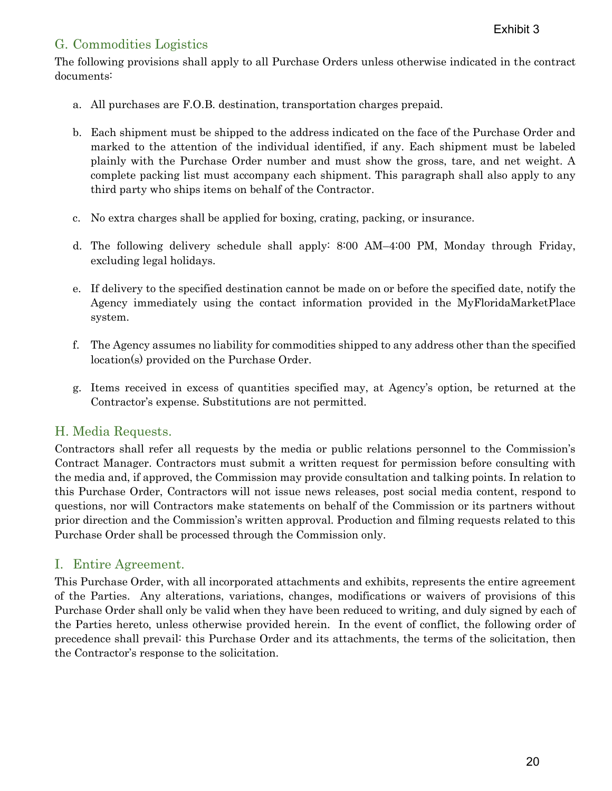## G. Commodities Logistics

The following provisions shall apply to all Purchase Orders unless otherwise indicated in the contract documents:

- a. All purchases are F.O.B. destination, transportation charges prepaid.
- b. Each shipment must be shipped to the address indicated on the face of the Purchase Order and marked to the attention of the individual identified, if any. Each shipment must be labeled plainly with the Purchase Order number and must show the gross, tare, and net weight. A complete packing list must accompany each shipment. This paragraph shall also apply to any third party who ships items on behalf of the Contractor.
- c. No extra charges shall be applied for boxing, crating, packing, or insurance.
- d. The following delivery schedule shall apply: 8:00 AM–4:00 PM, Monday through Friday, excluding legal holidays.
- e. If delivery to the specified destination cannot be made on or before the specified date, notify the Agency immediately using the contact information provided in the MyFloridaMarketPlace system.
- f. The Agency assumes no liability for commodities shipped to any address other than the specified location(s) provided on the Purchase Order.
- g. Items received in excess of quantities specified may, at Agency's option, be returned at the Contractor's expense. Substitutions are not permitted.

### H. Media Requests.

Contractors shall refer all requests by the media or public relations personnel to the Commission's Contract Manager. Contractors must submit a written request for permission before consulting with the media and, if approved, the Commission may provide consultation and talking points. In relation to this Purchase Order, Contractors will not issue news releases, post social media content, respond to questions, nor will Contractors make statements on behalf of the Commission or its partners without prior direction and the Commission's written approval. Production and filming requests related to this Purchase Order shall be processed through the Commission only.

#### I. Entire Agreement.

This Purchase Order, with all incorporated attachments and exhibits, represents the entire agreement of the Parties. Any alterations, variations, changes, modifications or waivers of provisions of this Purchase Order shall only be valid when they have been reduced to writing, and duly signed by each of the Parties hereto, unless otherwise provided herein. In the event of conflict, the following order of precedence shall prevail: this Purchase Order and its attachments, the terms of the solicitation, then the Contractor's response to the solicitation.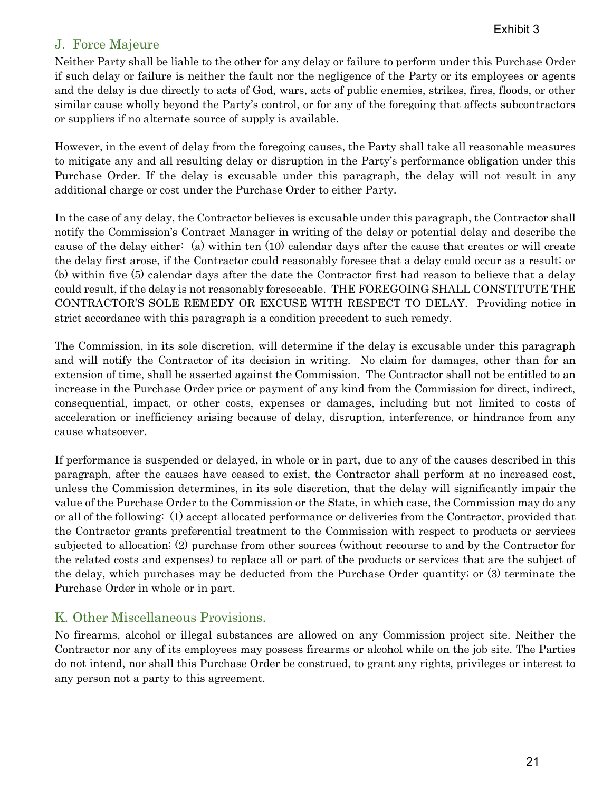### J. Force Majeure

Neither Party shall be liable to the other for any delay or failure to perform under this Purchase Order if such delay or failure is neither the fault nor the negligence of the Party or its employees or agents and the delay is due directly to acts of God, wars, acts of public enemies, strikes, fires, floods, or other similar cause wholly beyond the Party's control, or for any of the foregoing that affects subcontractors or suppliers if no alternate source of supply is available.

However, in the event of delay from the foregoing causes, the Party shall take all reasonable measures to mitigate any and all resulting delay or disruption in the Party's performance obligation under this Purchase Order. If the delay is excusable under this paragraph, the delay will not result in any additional charge or cost under the Purchase Order to either Party.

In the case of any delay, the Contractor believes is excusable under this paragraph, the Contractor shall notify the Commission's Contract Manager in writing of the delay or potential delay and describe the cause of the delay either: (a) within ten (10) calendar days after the cause that creates or will create the delay first arose, if the Contractor could reasonably foresee that a delay could occur as a result; or (b) within five (5) calendar days after the date the Contractor first had reason to believe that a delay could result, if the delay is not reasonably foreseeable. THE FOREGOING SHALL CONSTITUTE THE CONTRACTOR'S SOLE REMEDY OR EXCUSE WITH RESPECT TO DELAY. Providing notice in strict accordance with this paragraph is a condition precedent to such remedy.

The Commission, in its sole discretion, will determine if the delay is excusable under this paragraph and will notify the Contractor of its decision in writing. No claim for damages, other than for an extension of time, shall be asserted against the Commission. The Contractor shall not be entitled to an increase in the Purchase Order price or payment of any kind from the Commission for direct, indirect, consequential, impact, or other costs, expenses or damages, including but not limited to costs of acceleration or inefficiency arising because of delay, disruption, interference, or hindrance from any cause whatsoever.

If performance is suspended or delayed, in whole or in part, due to any of the causes described in this paragraph, after the causes have ceased to exist, the Contractor shall perform at no increased cost, unless the Commission determines, in its sole discretion, that the delay will significantly impair the value of the Purchase Order to the Commission or the State, in which case, the Commission may do any or all of the following: (1) accept allocated performance or deliveries from the Contractor, provided that the Contractor grants preferential treatment to the Commission with respect to products or services subjected to allocation; (2) purchase from other sources (without recourse to and by the Contractor for the related costs and expenses) to replace all or part of the products or services that are the subject of the delay, which purchases may be deducted from the Purchase Order quantity; or (3) terminate the Purchase Order in whole or in part.

### K. Other Miscellaneous Provisions.

No firearms, alcohol or illegal substances are allowed on any Commission project site. Neither the Contractor nor any of its employees may possess firearms or alcohol while on the job site. The Parties do not intend, nor shall this Purchase Order be construed, to grant any rights, privileges or interest to any person not a party to this agreement.